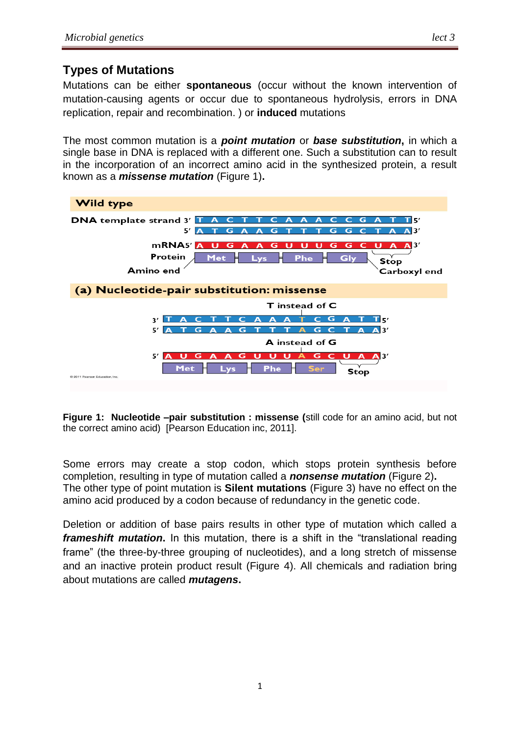### **Types of Mutations**

Mutations can be either **spontaneous** (occur without the known intervention of mutation-causing agents or occur due to spontaneous [hydrolysis,](https://en.wikipedia.org/wiki/Hydrolysis) [errors](https://en.wikipedia.org/wiki/DNA_error) in [DNA](https://en.wikipedia.org/wiki/DNA_replication)  [replication,](https://en.wikipedia.org/wiki/DNA_replication) repair and [recombination.](https://en.wikipedia.org/wiki/Genetic_recombination) ) or **induced** mutations

The most common mutation is a *point mutation* or *base substitution***,** in which a single base in DNA is replaced with a different one. Such a substitution can to result in the incorporation of an incorrect amino acid in the synthesized protein, a result known as a *missense mutation* (Figure 1)**.** 



**Figure 1: Nucleotide –pair substitution : missense (**still code for an amino acid, but not the correct amino acid) [Pearson Education inc, 2011].

Some errors may create a stop codon, which stops protein synthesis before completion, resulting in type of mutation called a *nonsense mutation* (Figure 2)**.** The other type of point mutation is **Silent mutations** (Figure 3) have no effect on the amino acid produced by a codon because of redundancy in the genetic code.

Deletion or addition of base pairs results in other type of mutation which called a *frameshift mutation***.** In this mutation, there is a shift in the "translational reading frame" (the three-by-three grouping of nucleotides), and a long stretch of missense and an inactive protein product result (Figure 4). All chemicals and radiation bring about mutations are called *mutagens***.**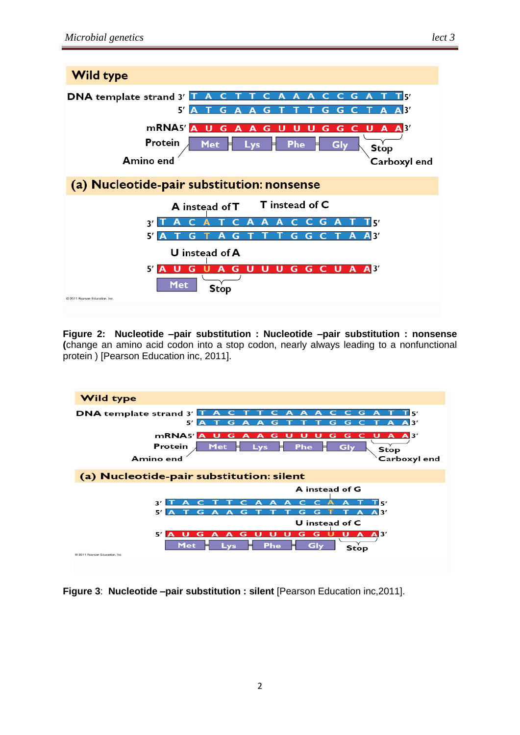

**Figure 2: Nucleotide –pair substitution : Nucleotide –pair substitution : nonsense (**change an amino acid codon into a stop codon, nearly always leading to a nonfunctional protein ) [Pearson Education inc, 2011].



**Figure 3**: **Nucleotide –pair substitution : silent** [Pearson Education inc,2011].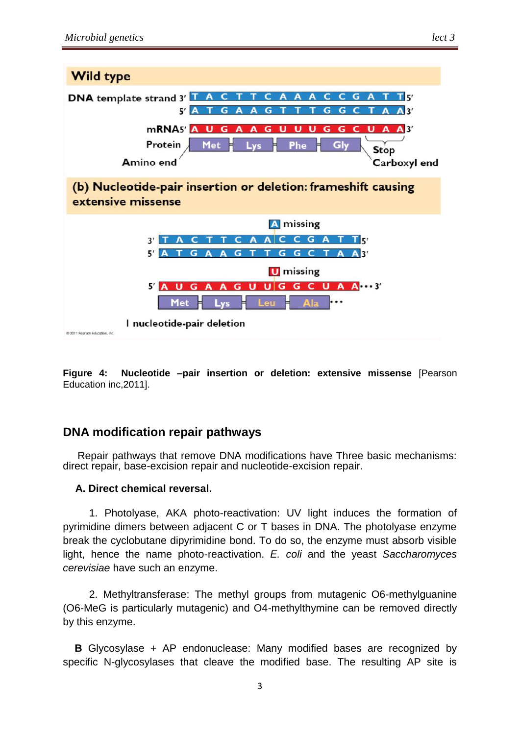

**Figure 4: Nucleotide –pair insertion or deletion: extensive missense** [Pearson Education inc,2011].

## **DNA modification repair pathways**

 Repair pathways that remove DNA modifications have Three basic mechanisms: direct repair, base-excision repair and nucleotide-excision repair.

#### **A. Direct chemical reversal.**

 1. Photolyase, AKA photo-reactivation: UV light induces the formation of pyrimidine dimers between adjacent C or T bases in DNA. The photolyase enzyme break the cyclobutane dipyrimidine bond. To do so, the enzyme must absorb visible light, hence the name photo-reactivation. *E. coli* and the yeast *Saccharomyces cerevisiae* have such an enzyme.

 2. Methyltransferase: The methyl groups from mutagenic O6-methylguanine (O6-MeG is particularly mutagenic) and O4-methylthymine can be removed directly by this enzyme.

 **B** Glycosylase + AP endonuclease: Many modified bases are recognized by specific N-glycosylases that cleave the modified base. The resulting AP site is

3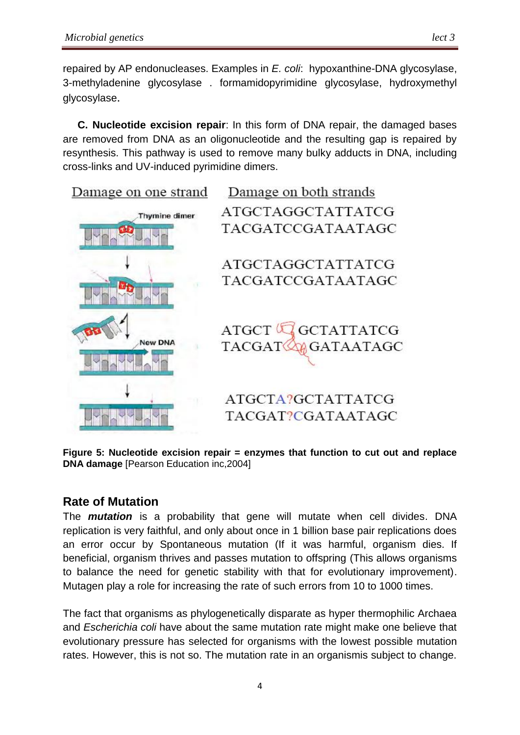repaired by AP endonucleases. Examples in *E. coli*: hypoxanthine-DNA glycosylase, 3-methyladenine glycosylase . formamidopyrimidine glycosylase, hydroxymethyl glycosylase.

 **C. Nucleotide excision repair**: In this form of DNA repair, the damaged bases are removed from DNA as an oligonucleotide and the resulting gap is repaired by resynthesis. This pathway is used to remove many bulky adducts in DNA, including cross-links and UV-induced pyrimidine dimers.

Damage on one strand



Damage on both strands ATGCTAGGCTATTATCG TACGATCCGATAATAGC

ATGCTAGGCTATTATCG TACGATCCGATAATAGC

 $\operatorname{ATGCT}$  ( $\overline{\mathbb{C}}$ GCTATTATCG **M**GATAATAGC  $TACGATG$ 

ATGCTA?GCTATTATCG TACGAT?CGATAATAGC

**Figure 5: Nucleotide excision repair = enzymes that function to cut out and replace DNA damage** [Pearson Education inc,2004]

# **Rate of Mutation**

The *mutation* is a probability that gene will mutate when cell divides. DNA replication is very faithful, and only about once in 1 billion base pair replications does an error occur by Spontaneous mutation (If it was harmful, organism dies. If beneficial, organism thrives and passes mutation to offspring (This allows organisms to balance the need for genetic stability with that for evolutionary improvement). Mutagen play a role for increasing the rate of such errors from 10 to 1000 times.

The fact that organisms as phylogenetically disparate as hyper thermophilic Archaea and *Escherichia coli* have about the same mutation rate might make one believe that evolutionary pressure has selected for organisms with the lowest possible mutation rates. However, this is not so. The mutation rate in an organismis subject to change.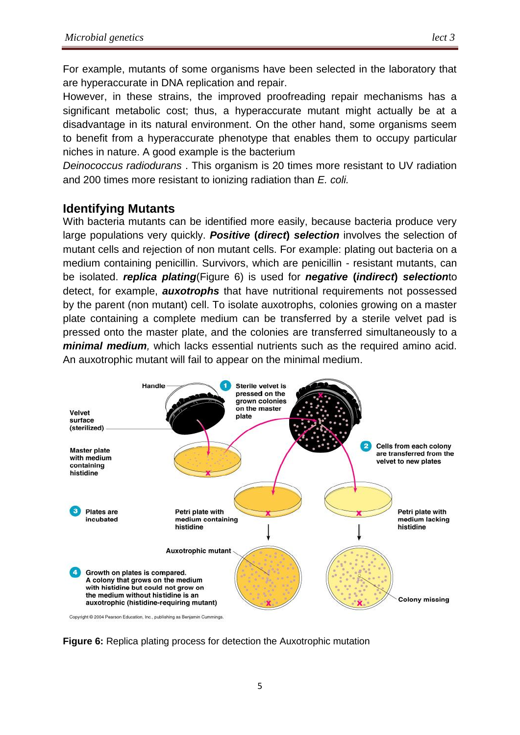For example, mutants of some organisms have been selected in the laboratory that are hyperaccurate in DNA replication and repair.

However, in these strains, the improved proofreading repair mechanisms has a significant metabolic cost; thus, a hyperaccurate mutant might actually be at a disadvantage in its natural environment. On the other hand, some organisms seem to benefit from a hyperaccurate phenotype that enables them to occupy particular niches in nature. A good example is the bacterium

*Deinococcus radiodurans* . This organism is 20 times more resistant to UV radiation and 200 times more resistant to ionizing radiation than *E. coli.*

### **Identifying Mutants**

With bacteria mutants can be identified more easily, because bacteria produce very large populations very quickly. *Positive* **(***direct***)** *selection* involves the selection of mutant cells and rejection of non mutant cells. For example: plating out bacteria on a medium containing penicillin. Survivors, which are penicillin - resistant mutants, can be isolated. *replica plating*(Figure 6) is used for *negative* **(***indirect***)** *selection*to detect, for example, *auxotrophs* that have nutritional requirements not possessed by the parent (non mutant) cell. To isolate auxotrophs, colonies growing on a master plate containing a complete medium can be transferred by a sterile velvet pad is pressed onto the master plate, and the colonies are transferred simultaneously to a *minimal medium,* which lacks essential nutrients such as the required amino acid. An auxotrophic mutant will fail to appear on the minimal medium.